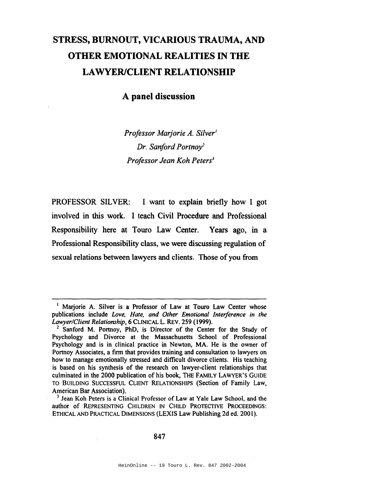# **STRESS, BURNOUT, VICARIOUS TRAUMA, AND OTHER EMOTIONAL REALITIES IN THE LAWYERICLIENT RELATIONSHIP**

# **A panel discussion**

*Professor Marjorie A. Silver' Dr. Sanford Portnoy Professor Jean Koh Peters*<sup>3</sup>

PROFESSOR SILVER: I want to explain briefly how I got involved in this work. I teach Civil Procedure and Professional Responsibility here at Touro Law Center. Years ago, in a Professional Responsibility class, we were discussing regulation of sexual relations between lawyers and clients. Those of you from

<sup>&</sup>lt;sup>1</sup> Marjorie A. Silver is a Professor of Law at Touro Law Center whose publications include *Love. Hate. and Other Emotional Interference in the Lawyer/Client Relationship,* 6 CLINICAL L. REv. 259 (1999).

<sup>&</sup>lt;sup>2</sup> Sanford M. Portnoy, PhD, is Director of the Center for the Study of Psychology and Divorce at the Massachusetts School of Professional Psychology and is in clinical practice in Newton, MA. He is the owner of Portnoy Associates, a firm that provides training and consultation to lawyers on how to manage emotionally stressed and difficult divorce clients. His teaching is based on his synthesis of the research on lawyer-client relationships that culminated in the 2000 publication of his book, THE FAMILY LAWYER'S GUIDE TO BUILDING SUCCESSFUL CLIENT RELATIONSHIPS (Section of Family Law, American Bar Association).

<sup>&</sup>lt;sup>3</sup> Jean Koh Peters is a Clinical Professor of Law at Yale Law School, and the author of REPRESENTING CHILDREN IN CHILD PROTECTIVE PROCEEDINGS: ETHICAL AND PRACTICAL DIMENSIONS (LEXIS Law Publishing 2d ed. 2001).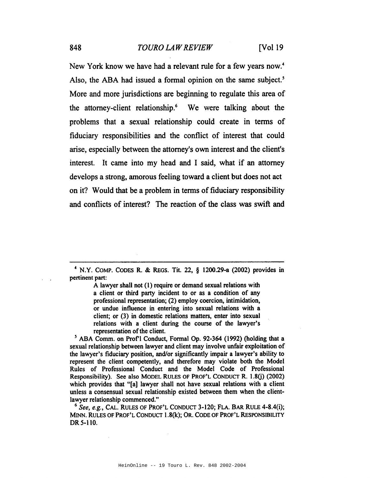New York know we have had a relevant rule for a few years now.<sup>4</sup> Also, the ABA had issued a formal opinion on the same subject.<sup>5</sup> More and more jurisdictions are beginning to regulate this area of the attorney-client relationship.6 We were talking about the problems that a sexual relationship could create in terms of fiduciary responsibilities and the conflict of interest that could arise, especially between the attorney's own interest and the client's interest. It came into my head and I said, what if an attorney develops a strong, amorous feeling toward a client but does not act on it? Would that be a problem in terms of fiduciary responsibility and conflicts of interest? The reaction of the class was swift and

 $4$  N.Y. COMP. CODES R. & REGS. Tit. 22, § 1200.29-a (2002) provides in pertinent part:

> A lawyer shall not (1) require or demand sexual relations with a client or third party incident to or as a condition of any professional representation; (2) employ coercion, intimidation, or undue influence in entering into sexual relations with a client; or (3) in domestic relations matters, enter into sexual relations with a client during the course of the lawyer's representation of the client.

<sup>5</sup> ABA Comm. on Prof'l Conduct, Formal Op. 92-364 (1992) (holding that a sexual relationship between lawyer and client may involve unfair exploitation of the lawyer's fiduciary position, and/or significantly impair a lawyer's ability to represent the client competently, and therefore may violate both the Model Rules of Professional Conduct and the Model Code of Professional Responsibility). See also MODEL RULES OF PROF'L CONDUCT R. 1.8(j) (2002) which provides that "[a] lawyer shall not have sexual relations with a client unless a consensual sexual relationship existed between them when the clientlawyer relationship commenced."

*<sup>6</sup> See, e.g.,* CAL. RULES OF PROF'L CONDUCT 3-120; FLA. BAR RULE 4-8.4(i); MINN. RULES OF PROF'L CONDUCT 1.8(k); OR. CODE OF PROF'L RESPONSIBILITY DR 5-110.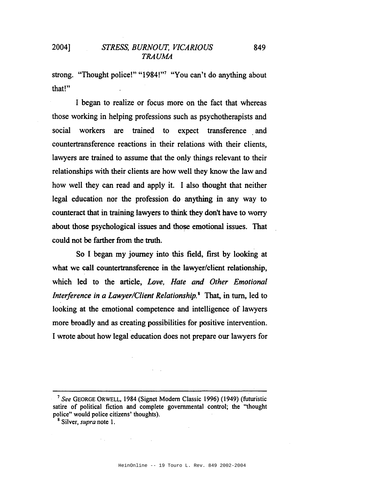strong. "Thought police!" "1984!"<sup>7</sup> "You can't do anything about that!"

I began to realize or focus more on the fact that whereas those working in helping professions such as psychotherapists and social workers are trained to expect transference and countertransference reactions in their relations with their clients, lawyers are trained to assume that the only things relevant to their relationships with their clients are how well they know the law and how well they can read and apply it. I also thought that neither legal education nor the profession do anything in any way to counteract that in training lawyers to think they don't have to worry about those psychological issues and those emotional issues. That could not be farther from the truth.

So I began my journey into this field, first by looking at what we call countertransference in the lawyer/client relationship, which led to the article, *Love, Hate and Other Emotional Interference in a Lawyer/Client Relationship.8* That, in turn, led to looking at the emotional competence and intelligence of lawyers more broadly and as creating possibilities for positive intervention. I wrote about how legal education does not prepare our lawyers for

 $\lambda_{\rm{max}}$ 

and the state of the

<sup>7</sup> *See* GEORGE ORWELL, 1984 (Signet Modem Classic 1996) (1949) (futuristic satire of political fiction and complete governmental control; the "thought police" would police citizens' thoughts).

<sup>8</sup> Silver, *supra* note 1.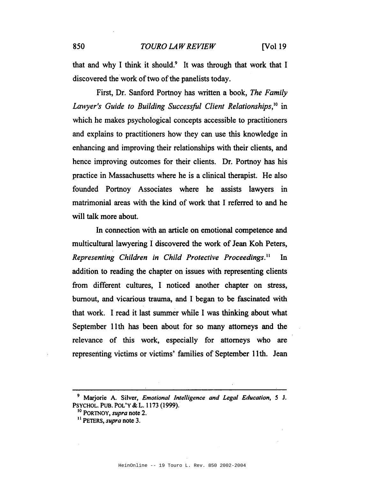that and why I think it should.<sup>9</sup> It was through that work that I discovered the work of two of the panelists today.

First, Dr. Sanford Portnoy has written a book, *The Family Lawyer's Guide to Building Successful Client Relationships,1O* in which he makes psychological concepts accessible to practitioners and explains to practitioners how they can use this knowledge in enhancing and improving their relationships with their clients, and hence improving outcomes for their clients. Dr. Portnoy has his practice in Massachusetts where he is a clinical therapist. He also founded Portnoy Associates where he assists lawyers in matrimonial areas with the kind of work that I referred to and he will talk more about.

In connection with an article on emotional competence and multicultural lawyering I discovered the work of Jean Koh Peters, *Representing Children in Child Protective Proceedings.* <sup>11</sup> In addition to reading the chapter on issues with representing clients from different cultures, I noticed another chapter on stress, burnout, and vicarious trauma, and I began to be fascinated with that work. I read it last summer while I was thinking about what September 11th has been about for so many attorneys and the relevance of this work, especially for attorneys who are representing victims or victims' families of September 11th. Jean

<sup>9</sup> Marjorie A. Silver, *Emotional Intelligence and Legal Education,* 5 J. PSYCHOL. PUB. POL'Y & L. 1173 (1999).

<sup>10</sup> PORTNOY, *supra* note 2.

<sup>&</sup>lt;sup>11</sup> PETERS, *supra* note 3.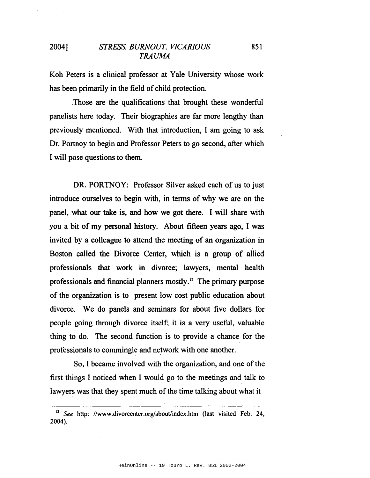Koh Peters is a clinical professor at Yale University whose work has been primarily in the field of child protection.

Those are the qualifications that brought these wonderful panelists here today. Their biographies are far more lengthy than previously mentioned. With that introduction, I am going to ask Dr. Portnoy to begin and Professor Peters to go second, after which I will pose questions to them.

DR. PORTNOY: Professor Silver asked each of us to just introduce ourselves to begin with, in tenns of why we are on the panel, what our take is, and how we got there. I will share with you a bit of my personal history. About fifteen years ago, I was invited by a colleague to attend the meeting of an organization in Boston called the Divorce Center, which is a group of allied professionals that work in divorce; lawyers, mental health professionals and financial planners mostly.12 The primary purpose of the organization is to present low cost public education about divorce. We do panels and seminars for about five dollars for people going through divorce itself; it is a very useful, valuable thing to do. The second function is to provide a chance for the professionals to commingle and network with one another.

So, I became involved with the organization, and one of the first things I noticed when I would go to the meetings and talk to lawyers was that they spent much of the time talking about what it

851

<sup>&</sup>lt;sup>12</sup> See http://www.divorcenter.org/about/index.htm (last visited Feb. 24, 2004).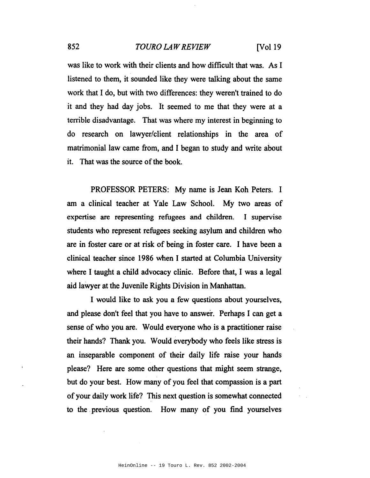was like to work with their clients and how difficult that was. As I listened to them, it sounded like they were talking about the same work that I do, but with two differences: they weren't trained to do it and they had day jobs. It seemed to me that they were at a terrible disadvantage. That was where my interest in beginning to do research on lawyer/client relationships in the area of matrimonial law came from, and I began to study and write about it. That was the source of the book.

PROFESSOR PETERS: My name is Jean Koh Peters. I am a clinical teacher at Yale Law School. My two areas of expertise are representing refugees and children. I supervise students who represent refugees seeking asylum and children who are in foster care or at risk of being in foster care. I have been a clinical teacher since 1986 when I started at Columbia University where I taught a child advocacy clinic. Before that, I was a legal aid lawyer at the Juvenile Rights Division in Manhattan.

I would like to ask you a few questions about yourselves, and please don't feel that you have to answer. Perhaps I can get a sense of who you are. Would everyone who is a practitioner raise their hands? Thank you. Would everybody who feels like stress is an inseparable component of their daily life raise your hands please? Here are some other questions that might seem strange, but do your best. How many of you feel that compassion is a part of your daily work life? This next question is somewhat connected to the. previous question. How many of you find yourselves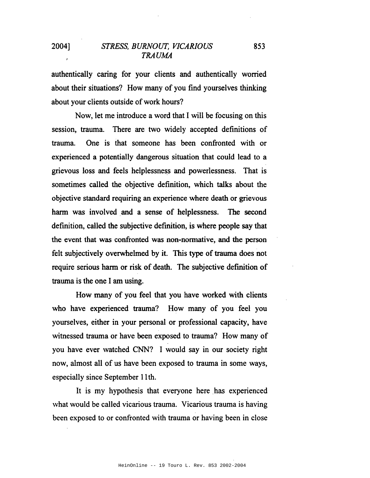authentically caring for your clients and authentically worried about their situations? How many of you find yourselves thinking about your clients outside of work hours?

Now, let me introduce a word that I will be focusing on this session, trauma. There are two widely accepted definitions of trauma. One is that someone has been confronted with or experienced a potentially dangerous situation that could lead to a grievous loss and feels helplessness and powerlessness. That is sometimes called the objective definition, which talks about the objective standard requiring an experience where death or grievous harm was involved and a sense of helplessness. The second defmition, called the subjective definition, is where people say that the event that was confronted was non-normative, and the person felt subjectively overwhelmed by it. This type of trauma does not require serious harm or risk of death. The subjective definition of trauma is the one I am using.

How many of you feel that you have worked with clients who have experienced trauma? How many of you feel you yourselves, either in your personal or professional capacity, have witnessed trauma or have been exposed to trauma? How many of you have ever watched CNN? I would say in our society right now, almost all of us have been exposed to trauma in some ways, especially since September 11th.

It is my hypothesis that everyone here has experienced what would be called vicarious trauma. Vicarious trauma is having been exposed to or confronted with trauma or having been in close

853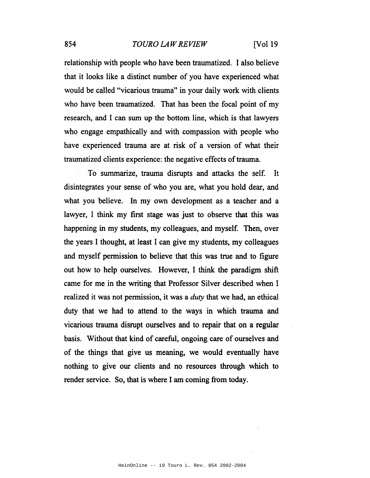#### 854 *TOURO LAW REVIEW* [Vol 19

relationship with people who have been traumatized. I also believe that it looks like a distinct number of you have experienced what would be called "vicarious trauma" in your daily work with clients who have been traumatized. That has been the focal point of my research, and I can sum up the bottom line, which is that lawyers who engage empathically and with compassion with people who have experienced trauma are at risk of a version of what their traumatized clients experience: the negative effects of trauma.

To summarize, trauma disrupts and attacks the self. It disintegrates your sense of who you are, what you hold dear, and what you believe. In my own development as a teacher and a lawyer, I think my first stage was just to observe that this was happening in my students, my colleagues, and myself. Then, over the years I thought, at least I can give my students, my colleagues and myself permission to believe that this was true and to figure out how to help ourselves. However, I think the paradigm shift came for me in the writing that Professor Silver described when I realized it was not permission, it was a *duty* that we had, an ethical duty that we had to attend to the ways in which trauma and vicarious trauma disrupt ourselves and to repair that on a regular basis. Without that kind of careful, ongoing care of ourselves and of the things that give us meaning, we would eventually have nothing to give our clients and no resources through which to render service. So, that is where I am coming from today.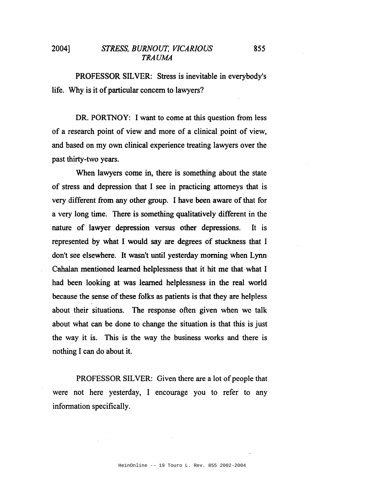PROFESSOR SILVER: Stress is inevitable in everybody's life. Why is it of particular concern to lawyers?

DR. PORTNOY: I want to come at this question from less of a research point of view and more of a clinical point of view, and based on my own clinical experience treating lawyers over the past thirty-two years.

When lawyers come in, there is something about the state of stress and depression that I see in practicing attorneys that is very different from any other group. I have been aware of that for a very long time. There is something qualitatively different in the nature of lawyer depression versus other depressions. It is represented by what I would say are degrees of stuckness that I don't see elsewhere. It wasn't until yesterday morning when Lynn Cahalan mentioned learned helplessness that it hit me that what I had been looking at was learned helplessness in the real world because the sense of these folks as patients is that they are helpless about their situations. The response often given when we talk about what can be done to change the situation is that this is just the way it is. This is the way the business works and there is nothing I can do about it.

PROFESSOR SILVER: Given there are a lot of people that were not here yesterday, I encourage you to refer to any information specifically.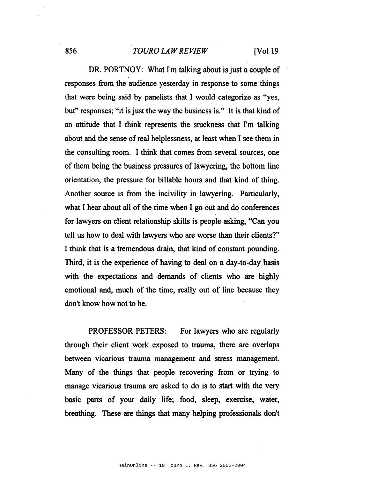# 856 *TOURO LAWREVIEW* [Vol 19

DR. PORTNOY: What I'm talking about is just a couple of responses from the audience yesterday in response to some things that were being said by panelists that I would categorize as "yes, but" responses; "it is just the way the business is." It is that kind of an attitude that I think represents the stuckness that I'm talking about and the sense of real helplessness, at least when I see them in the consulting room. I think that comes from several sources, one of them being the business pressures of lawyering, the bottom line orientation, the pressure for billable hours and that kind of thing. Another source is from the incivility in lawyering. Particularly, what I hear about all of the time when I go out and do conferences for lawyers on client relationship skills is people asking, "Can you tell us how to deal with lawyers who are worse than their clients?" I think that is a tremendous drain, that kind of constant pounding. Third, it is the experience of having to deal on a day-to-day basis with the expectations and demands of clients who are highly emotional and, much of the time, really out of line because they don't know how not to be.

PROFESSOR PETERS: For lawyers who are regularly through their client work exposed to trauma, there are overlaps between vicarious trauma management and stress management. Many of the things that people recovering from or trying to manage vicarious trauma are asked to do is to start with the very basic parts of your daily life; food, sleep, exercise,' water, breathing. These are things that many helping professionals don't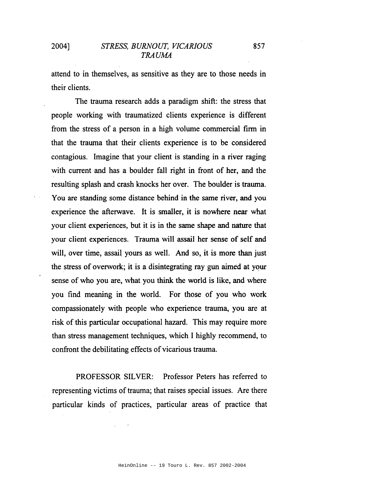attend to in themselves, as sensitive as they are to those needs in their clients.

The trauma research adds a paradigm shift: the stress that people working with traumatized clients experience is different from the stress of a person in a high volume commercial firm in that the trauma that their clients experience is to be considered contagious. Imagine that your client is standing in a river raging with current and has a boulder fall right in front of her, and the resulting splash and crash knocks her over. The boulder is trauma. You are standing some distance behind in the same river, and you experience the afterwave. It is smaller, it is nowhere near what your client experiences, but it is in the same shape and nature that your client experiences. Trauma will assail her sense of self and will, over time, assail yours as well. And so, it is more than just the stress of overwork; it is a disintegrating ray gun aimed at your sense of who you are, what you think the world is like, and where you find meaning in the world. For those of you who work compassionately with people who experience trauma, you are at risk of this particular occupational hazard. This may require more than stress management techniques, which I highly recommend, to confront the debilitating effects of vicarious trauma.

PROFESSOR SILVER: Professor Peters has referred to representing victims of trauma; that raises special issues. Are there particular kinds of practices, particular areas of practice that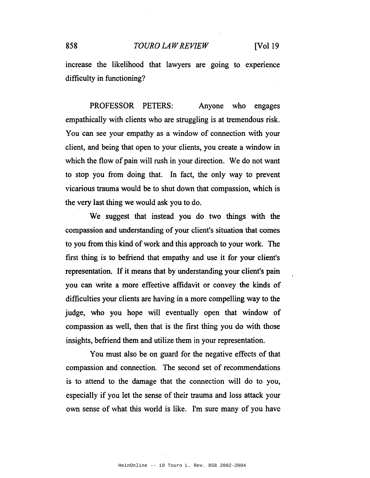#### 858 *TOURO LAWREVIEW* [Vol 19

increase the likelihood that lawyers are going to experience difficulty in functioning?

PROFESSOR PETERS: Anyone who engages empathically with clients who are struggling is at tremendous risk. You can see your empathy as a window of connection with your client, and being that open to your clients, you create a window in which the flow of pain will rush in your direction. We do not want to stop you from doing that. In fact, the only way to prevent vicarious trauma would be to shut down that compassion, which is the very last thing we would ask you to do.

We suggest that instead you do two things with the compassion and understanding of your client's situation that comes to you from this kind of work and this approach to your work. The first thing is to befriend that empathy and use it for your client's representation. If it means that by understanding your client's pain you can write a more effective affidavit or convey the kinds of difficulties your clients are having in a more compelling way to the judge, who you hope will eventually open that window of compassion as well, then that is the first thing you do with those insights, befriend them and utilize them in your representation.

You must also be on guard for the negative effects of that compassion and connection. The second set of recommendations is to attend to the damage that the connection will do to you, especially if you let the sense of their trauma and loss attack your own sense of what this world is like. I'm sure many of you have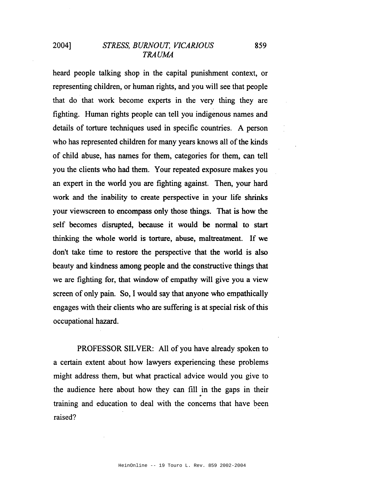heard people talking shop in the capital punishment context, or representing children, or human rights, and you will see that people that do that work become experts in the very thing they are fighting. Human rights people can tell you indigenous names and details of torture techniques used in specific countries. A person who has represented children for many years knows all of the kinds of child abuse, has names for them, categories for them, can tell you the clients who had them. Your repeated exposure makes you an expert in the world you are fighting against. Then, your hard work and the inability to create perspective in your life shrinks your viewscreen to encompass only those things. That is how the self becomes disrupted, because it would be normal to start thinking the whole world is torture, abuse, maltreatment. If we don't take time to restore the perspective that the world is also beauty and kindness among people and the constructive things that we are fighting for, that window of empathy will give you a view screen of only pain. So, I would say that anyone who empathically engages with their clients who are suffering is at special risk ofthis occupational hazard.

PROFESSOR SILVER: All of you have already spoken to a certain extent about how lawyers experiencing these problems might address them, but what practical advice would you give to the audience here about how they can fill in the gaps in their training and education to deal with the concerns that have been raised?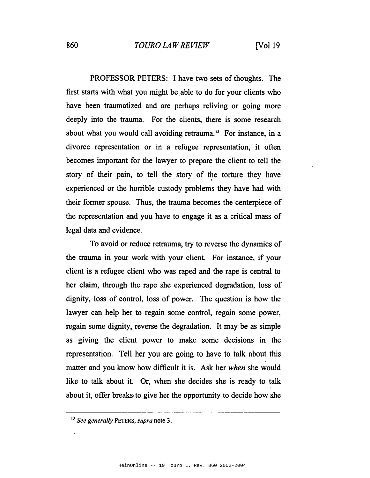PROFESSOR PETERS: I have two sets of thoughts. The first starts with what you might be able to do for your clients who have been traumatized and are perhaps reliving or going more deeply into the trauma. For the clients, there is some research about what you would call avoiding retrauma.<sup>13</sup> For instance, in a divorce representation or in a refugee representation, it often becomes important for the lawyer to prepare the client to tell the story of their pain, to tell the story of the torture they have experienced or the horrible custody problems they have had with their former spouse. Thus, the trauma becomes the centerpiece of the representation and you have to engage it as a critical mass of legal data and evidence.

To avoid or reduce retrauma, try to reverse the dynamics of the trauma in your work with your client. For instance, if your client is a refugee client who was raped and the rape is central to her claim, through the rape she experienced degradation, loss of dignity, loss of control, loss of power. The question is how the lawyer can help her to regain some control, regain some power, regain some dignity, reverse the degradation. It may be as simple as giving the client power to make some decisions in the representation. Tell her you are going to have to talk about this matter and you know how difficult it is. Ask her *when* she would like to talk about it. Or, when she decides she is ready to talk about it, offer breaks·to give her the opportunity to decide how she

<sup>13</sup> *See generally* PETERS, *supra* note 3.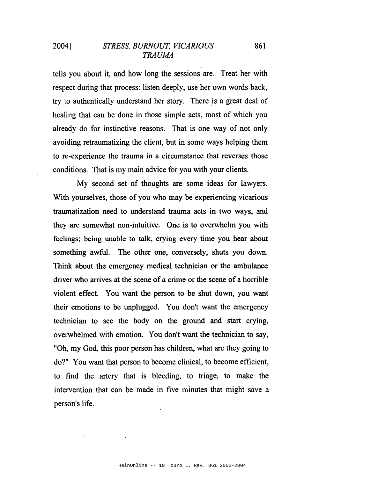tells you about it, and how long the sessions are. Treat her with respect during that process: listen deeply, use her own words back, try to authentically understand her story. There is a great deal of healing that can be done in those simple acts, most of which you already do for instinctive reasons. That is one way of not only avoiding retraumatizing the client, but in some ways helping them to re-experience the trauma in a circumstance that reverses those conditions. That is my main advice for you with your clients.

My second set of thoughts are some ideas for lawyers. With yourselves, those of you who may be experiencing vicarious traumatization need to understand trauma acts in two ways, and they are somewhat non-intuitive. One is to overwhelm you with feelings; being unable to talk, crying every time you hear about something awful. The other one, conversely, shuts you down. Think about the emergency medical technician or the ambulance driver who arrives at the scene of a crime or the scene of a horrible violent effect. You want the person to be shut down, you want their emotions to be unplugged. You don't want the emergency technician to see the body on the ground and start crying, overwhelmed with emotion. You don't want the technician to say, "Oh, my God, this poor person has children, what are they going to do?" You want that person to become clinical, to become efficient, to find the artery that is bleeding, to triage, to make the intervention that can be made in five minutes that might save a person's life.

861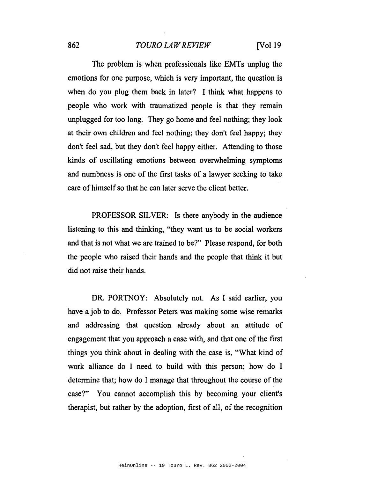#### 862 *TOURO LAWREVIEW* [Vol 19

The problem is when professionals like EMTs unplug the emotions for one purpose, which is very important, the question is when do you plug them back in later? I think what happens to people who work with traumatized people is that they remain unplugged for too long. They go home and feel nothing; they look at their own children and feel nothing; they don't feel happy; they don't feel sad, but they don't feel happy either. Attending to those kinds of oscillating emotions between overwhelming symptoms and numbness is one of the first tasks of a lawyer seeking to take care of himself so that he can later serve the client better.

PROFESSOR SILVER: Is there anybody in the audience listening to this and thinking, "they want us to be social workers and that is not what we are trained to be?" Please respond, for both the people who raised their hands and the people that think it but did not raise their hands.

DR. PORTNOY: Absolutely not. As I said earlier, you have a job to do. Professor Peters was making some wise remarks and addressing that question already about an attitude of engagement that you approach a case with, and that one of the first things you think about in dealing with the case is, "What kind of work alliance do I need to build with this person; how do I determine that; how do I manage that throughout the course of the case?" You cannot accomplish this by becoming your client's therapist, but rather by the adoption, first of all, of the recognition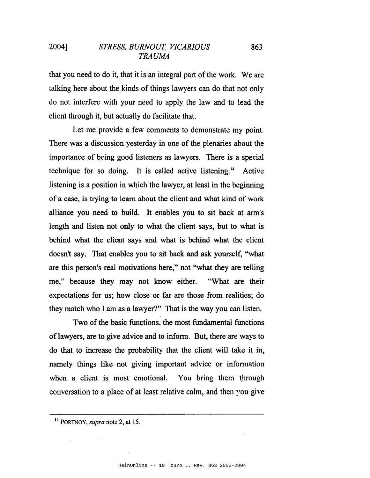that you need to do it, that it is an integral part of the work. We are talking here about the kinds of things lawyers can do that not only do not interfere with your need to apply the law and to lead the client through it, but actually do facilitate that.

863

Let me provide a few comments to demonstrate my point. There was a discussion yesterday in one of the plenaries about the importance of being good listeners as lawyers. There is a special technique for so doing. It is called active listening. <sup>14</sup> Active listening is a position in which the lawyer, at least in the beginning of a case, is trying to learn about the client and what kind of work alliance you need to build. It enables you to sit back at arm's length and listen not only to what the client says, but to what is behind what the client says and what is behind what the client doesn't say. That enables you to sit back and ask yourself, "what are this person's real motivations here," not "what they are telling me," because they may not know either. "What are their expectations for us; how close or far are those from realities; do they match who I am as a lawyer?" That is the way you can listen.

Two of the basic functions, the most fundamental functions of lawyers, are to give advice and to inform. But, there are ways to do that to increase the probability that the client will take it in, namely things like not giving important advice or information when a client is most emotional. You bring them through conversation to a place of at least relative calm, and then ~'ou give

HeinOnline -- 19 Touro L. Rev. 863 2002-2004

<sup>14</sup> PORTNOY, *supra* note 2, at 15.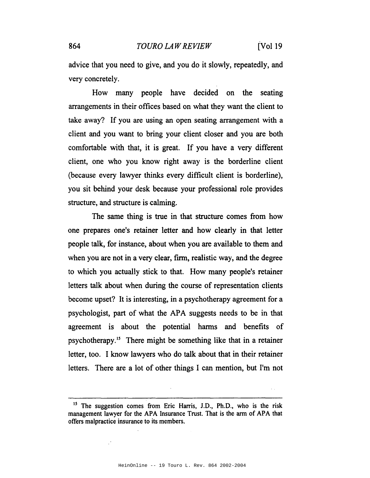advice that you need to give, and you do it slowly, repeatedly, and very concretely.

How many people have decided on the seating arrangements in their offices based on what they want the client to take away? If you are using an open seating arrangement with a client and you want to bring your client closer and you are both comfortable with that, it is great. If you have a very different client, one who you know right away is the borderline client (because every lawyer thinks every difficult client is borderline), you sit behind your desk because your professional role provides structure, and structure is.calming.

The same thing is true in that structure comes from how one prepares one's retainer letter and how clearly in that letter people talk, for instance, about when you are available to them and when you are not in a very clear, firm, realistic way, and the degree to which you actually stick to that. How many people's retainer letters talk about when during the course of representation clients become upset? It is interesting, in a psychotherapy agreement for a psychologist, part of what the APA suggests needs to be in that agreement is about the potential harms and benefits of psychotherapy. *IS* There might be something like that in a retainer letter, too. I know lawyers who do talk about that in their retainer letters. There are a lot of other things I can mention, but I'm not

<sup>&</sup>lt;sup>15</sup> The suggestion comes from Eric Harris, J.D., Ph.D., who is the risk management lawyer for the APA Insurance Trust. That is the arm of APA that offers malpractice insurance to its members.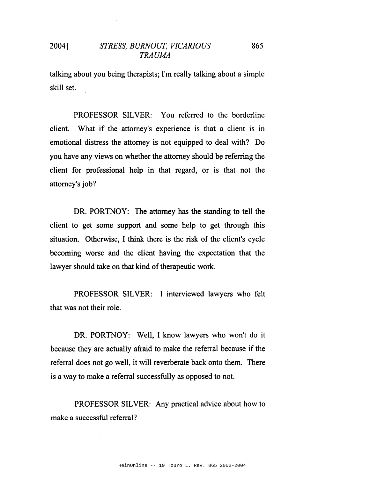talking about you being therapists; I'm really talking about a simple skill set.

PROFESSOR SILVER: You referred to the borderline client. What if the attorney's experience is that a client is in emotional distress the attorney is not equipped to deal with? Do you have any views on whether the attorney should be referring the client for professional help in that regard, or is that not the attorney's job?

DR. PORTNOY: The attorney has the standing to tell the client to get some support and some help to get through this situation.. Otherwise, I think there is the risk of the client's cycle becoming worse and the client having the expectation that the lawyer should take on that kind of therapeutic work.

PROFESSOR SILVER: I interviewed lawyers who felt that was not their role.

DR. PORTNOY: Well, I know lawyers who won't do it because they are actually afraid to make the referral because if the referral does not go well, it will reverberate back onto them. There is a way to make a referral successfully as opposed to not.

PROFESSOR SILVER: Any practical advice about how to make a successful referral?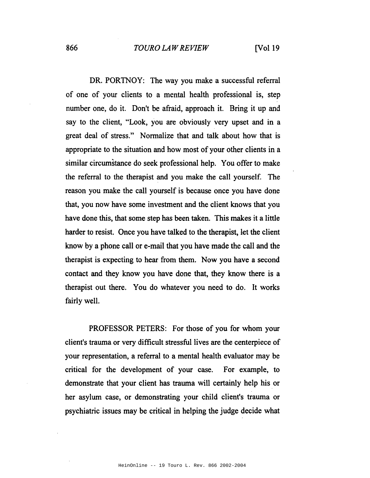DR. PORTNOY: The way you make a successful referral of one of your clients to a mental health professional is, step number one, do it. Don't be afraid, approach it. Bring it up and say to the client, "Look, you are obviously very upset and in a great deal of stress." Normalize that and talk about how that is appropriate to the situation and how most of your other clients in a similar circumstance do seek professional help. You offer to make the referral to the therapist and you make the call yourself. The reason you make the call yourself is because once you have done that, you now have some investment and the client knows that you have done this, that some step has been taken. This makes it a little harder to resist. Once you have talked to the therapist, let the client know by a phone call or e-mail that you have made the call and the therapist is expecting to hear from them. Now you have a second contact and they know you have done that, they know there is a therapist out there. You do whatever you need to do. It works fairly well.

PROFESSOR PETERS: For those of you for whom your client's trauma or very difficult stressful lives are the centerpiece of your representation, a referral to a mental health evaluator may be critical for the development of your case. For example, to demonstrate that your client has trauma will certainly help his or her asylum case, or demonstrating your child client's trauma or psychiatric issues may be critical in helping the judge decide what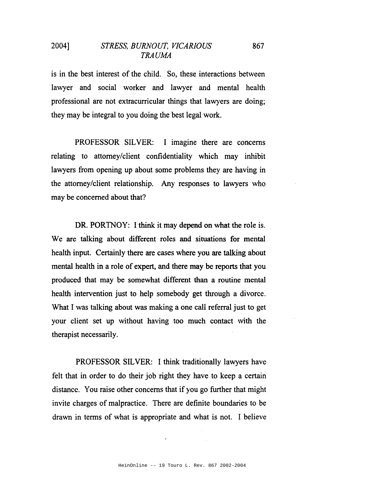is in the best interest of the child. So, these interactions between lawyer and social worker and lawyer and mental health professional are not extracurricular things that lawyers are doing; they may be integral to you doing the best legal work.

PROFESSOR SILVER: I imagine there are concerns relating to attorney/client confidentiality which may inhibit lawyers from opening up about some problems they are having in the attorney/client relationship. Any responses to lawyers who may be concerned about that?

DR. PORTNOY: I think it may depend on what the role is. We are talking about different roles and situations for mental health input. Certainly there are cases where you are talking about mental health in a role of expert, and there may be reports that you produced that may be somewhat different than a routine mental health intervention just to help somebody get through a divorce. What I was talking about was making a one call referral just to get your client set up without having too much contact with the therapist necessarily.

PROFESSOR SILVER: I think traditionally lawyers have felt that in order to do their job right they have to keep a certain distance. You raise other concerns that if you go further that might invite charges of malpractice. There are definite boundaries to be drawn in terms of what is appropriate and what is not. I believe

867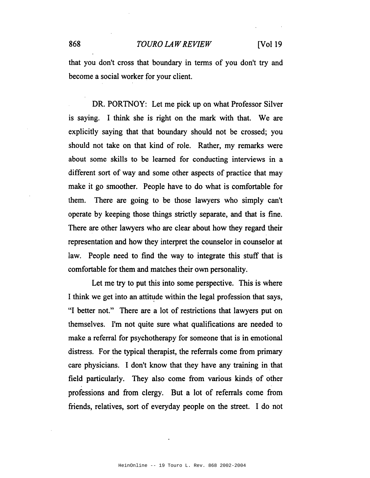#### 868 *TOURO LA WREVIEW* [Vol 19

that you don't cross that boundary in terms of you don't try and become a social worker for your client.

DR. PORTNOY: Let me pick up on what Professor Silver is saying. 1 think she is right on the mark with that. We are explicitly saying that that boundary should not be crossed; you should not take on that kind of role. Rather, my remarks were about some skills to be learned for conducting interviews in a different sort of way and some other aspects of practice that may make it go smoother. People have to do what is comfortable for them. There are going to be those lawyers who simply can't operate by keeping those things strictly separate, and that is fine. There are other lawyers who are clear about how they regard their representation and how they interpret the counselor in counselor at law. People need to find the way to integrate this stuff that is comfortable for them and matches their own personality.

Let me try to put this into some perspective. This is where I think we get into an attitude within the legal profession that says, "I better not." There are a lot of restrictions that lawyers put on themselves. I'm not quite sure what qualifications are needed to make a referral for psychotherapy for someone that is in emotional distress. For the typical therapist, the referrals come from primary care physicians. 1 don't know that they have any training in that field particularly. They also come from various kinds of other professions and from clergy. But a lot of referrals come from friends, relatives, sort of everyday people on the street. 1 do not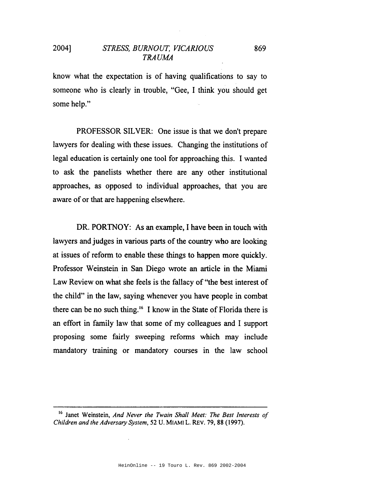know what the expectation is of having qualifications to say to someone who is clearly in trouble, "Gee, I think you should get some help."

PROFESSOR SILVER: One issue is that we don't prepare lawyers for dealing with these issues. Changing the institutions of legal education is certainly one tool for approaching this. I wanted to ask the panelists whether there are any other institutional approaches, as opposed to individual approaches, that you are aware of or that are happening elsewhere.

DR. PORTNOY: As an example, I have been in touch with lawyers and judges in various parts of the country who are looking at issues of reform to enable these things to happen more quickly. Professor Weinstein in San Diego wrote an article in the Miami Law Review on what she feels is the fallacy of "the best interest of the child" in the law, saying whenever you have people in combat there can be no such thing.<sup>16</sup> I know in the State of Florida there is an effort in family law that some of my colleagues and I support proposing some fairly sweeping reforms which may include mandatory training or mandatory courses in the law school

869

<sup>16</sup> Janet Weinstein, *And Never the Twain Shall Meet: The Best Interests of Children and the Adversary System,* 52 U. MIAMI L. REv. 79, 88 (1997).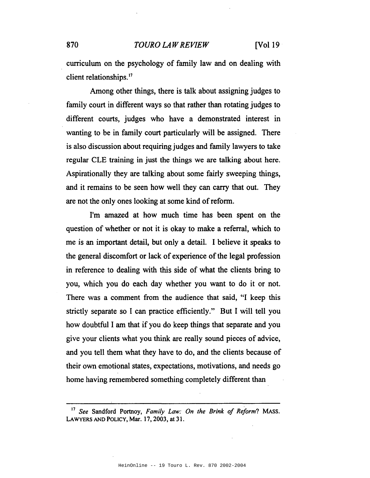### 870 *TOURO LA WREVIEW* [Vol 19

curriculum on the psychology of family law and on dealing with client relationships.<sup>17</sup>

Among other things, there is talk about assigning judges to family court in different ways so that rather than rotating judges to different courts, judges who have a demonstrated interest in wanting to be in family court particularly will be assigned. There is also discussion about requiring judges and family lawyers to take regular CLE training in just the things we are talking about here. Aspirationally they are talking about some fairly sweeping things, and it remains to be seen how well they can carry that out. They are not the only ones looking at some kind of reform.

I'm amazed at how much time has been spent on the question of whether or not it is okay to make a referral, which to me is an important detail, but only a detail. 1 believe it speaks to the general discomfort or lack of experience of the legal profession in reference to dealing with this side of what the clients bring to you, which you do each day whether you want to do it or not. There was a comment from the audience that said, "I keep this strictly separate so 1 can practice efficiently." But 1 will tell you how doubtful 1 am that if you do keep things that separate and you give your clients what you think are really sound pieces of advice, and you tell them what they have to do, and the clients because of their own emotional states, expectations, motivations, and needs go home having remembered something completely different than

<sup>17</sup> *See* Sandford Portnoy, *Family Law: On the Brink of Rejorm?* MAss. LAWYERS AND POLICY, Mar. 17, 2003, at 31.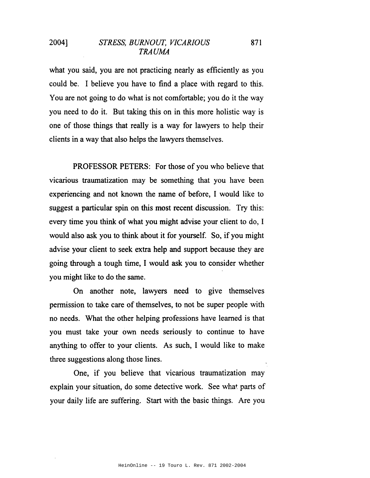871

what you said, you are not practicing nearly as efficiently as you could be. I believe you have to find a place with regard to this. You are not going to do what is not comfortable; you do it the way you need to do it. But taking this on in this more holistic way is one of those things that really is a way for lawyers to help their clients in a way that also helps the lawyers themselves.

PROFESSOR PETERS: For those of you who believe that vicarious traumatization may be something that you have been experiencing and not known the name of before, I would like to suggest a particular spin on this most recent discussion. Try this: every time you think of what you might advise your client to do, I would also ask you to think about it for yourself. So, if you might advise your client to seek extra help and support because they are going through a tough time, I would ask you to consider whether you might like to do the same.

On another note, lawyers need to give themselves permission to take care of themselves, to not be super people with no needs. What the other helping professions have learned is that you must take your own needs seriously to continue to have anything to offer to your clients. As such, I would like to make three suggestions along those lines.

One, if you believe that vicarious traumatization may explain your situation, do some detective work. See what parts of your daily life are suffering. Start with the basic things. Are you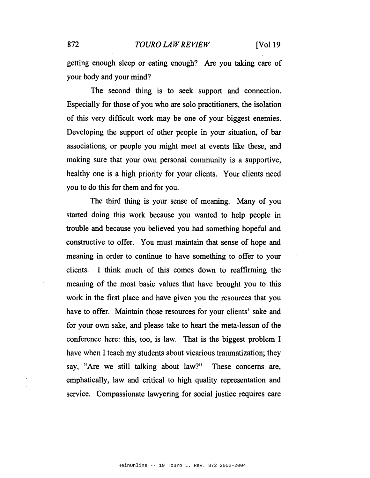#### 872 *TOURO LA WREVIEW* [Vol 19

getting enough sleep or eating enough? Are you taking care of your body and your mind?

The second thing is to seek support and connection. Especially for those of you who are solo practitioners, the isolation of this very difficult work may be one of your biggest enemies. Developing the support of other people in your situation, of bar associations, or people you might meet at events like these, and making sure that your own personal community is a supportive, healthy one is a high priority for your clients. Your clients need you to do this for them and for you.

The third thing is your sense of meaning. Many of you started doing this work because you wanted to help people in trouble and because you believed you had something hopeful and constructive to offer. You must maintain that sense of hope and meaning in order to continue to have something to offer to your clients. I think much of this comes down to reaffirming the meaning of the most basic values that have brought you to this work in the first place and have given you the resources that you have to offer. Maintain those resources for your clients' sake and for your own sake, and please take to heart the meta-lesson of the conference here: this, too, is law. That is the biggest problem I have when I teach my students about vicarious traumatization; they say, "Are we still talking about law?" These concerns are, emphatically, law and critical to high quality representation and service. Compassionate lawyering for social justice requires care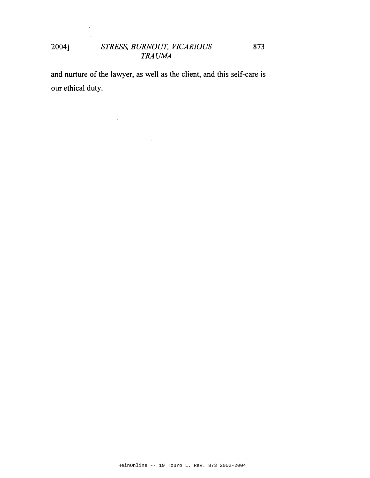$\ddot{\phantom{a}}$ 

873

and nurture of the lawyer, as well as the client, and this self-care is our ethical duty.

 $\hat{\mathcal{A}}$ 

 $\mathcal{F}_{\mathcal{A}}$  ,

 $\sim$ 

 $\mathcal{L}^{\pm}$